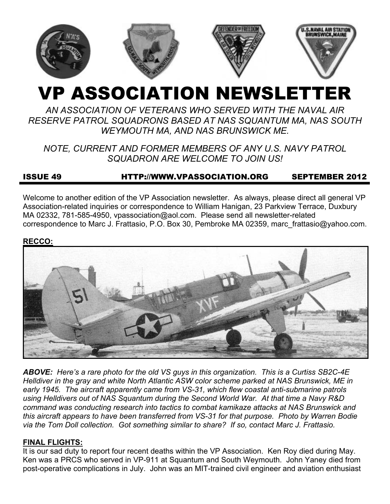

# VP ASSOCIATION NEWSLETTER

# *AN ASSOCIATION OF VETERANS WHO SERVED WITH THE NAVAL AIR RESERVE PATROL SQUADRONS BASED AT NAS SQUANTUM MA, NAS SOUTH WEYMOUTH MA, AND NAS BRUNSWICK ME.*

# *NOTE, CURRENT AND FORMER MEMBERS OF ANY U.S. NAVY PATROL SQUADRON ARE WELCOME TO JOIN US!*

# ISSUE 49 HTTP://WWW.VPASSOCIATION.ORG SEPTEMBER 2012

Welcome to another edition of the VP Association newsletter. As always, please direct all general VP Association-related inquiries or correspondence to William Hanigan, 23 Parkview Terrace, Duxbury MA 02332, 781-585-4950, vpassociation@aol.com. Please send all newsletter-related correspondence to Marc J. Frattasio, P.O. Box 30, Pembroke MA 02359, marc\_frattasio@yahoo.com.

#### **RECCO:**



*ABOVE: Here's a rare photo for the old VS guys in this organization. This is a Curtiss SB2C-4E Helldiver in the gray and white North Atlantic ASW color scheme parked at NAS Brunswick, ME in early 1945. The aircraft apparently came from VS-31, which flew coastal anti-submarine patrols using Helldivers out of NAS Squantum during the Second World War. At that time a Navy R&D command was conducting research into tactics to combat kamikaze attacks at NAS Brunswick and this aircraft appears to have been transferred from VS-31 for that purpose. Photo by Warren Bodie via the Tom Doll collection. Got something similar to share? If so, contact Marc J. Frattasio.* 

## **FINAL FLIGHTS:**

It is our sad duty to report four recent deaths within the VP Association. Ken Roy died during May. Ken was a PRCS who served in VP-911 at Squantum and South Weymouth. John Yaney died from post-operative complications in July. John was an MIT-trained civil engineer and aviation enthusiast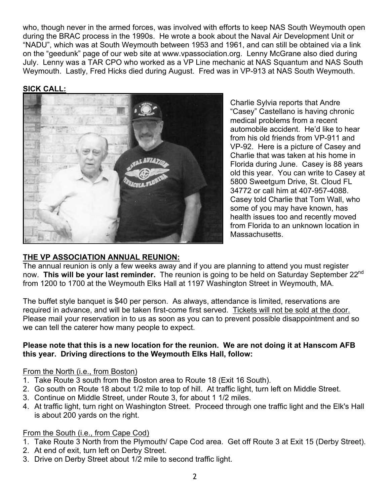who, though never in the armed forces, was involved with efforts to keep NAS South Weymouth open during the BRAC process in the 1990s. He wrote a book about the Naval Air Development Unit or "NADU", which was at South Weymouth between 1953 and 1961, and can still be obtained via a link on the "geedunk" page of our web site at www.vpassociation.org. Lenny McGrane also died during July. Lenny was a TAR CPO who worked as a VP Line mechanic at NAS Squantum and NAS South Weymouth. Lastly, Fred Hicks died during August. Fred was in VP-913 at NAS South Weymouth.

#### **SICK CALL:**



Charlie Sylvia reports that Andre "Casey" Castellano is having chronic medical problems from a recent automobile accident. He'd like to hear from his old friends from VP-911 and VP-92. Here is a picture of Casey and Charlie that was taken at his home in Florida during June. Casey is 88 years old this year. You can write to Casey at 5800 Sweetgum Drive, St. Cloud FL 34772 or call him at 407-957-4088. Casey told Charlie that Tom Wall, who some of you may have known, has health issues too and recently moved from Florida to an unknown location in Massachusetts.

## **THE VP ASSOCIATION ANNUAL REUNION:**

The annual reunion is only a few weeks away and if you are planning to attend you must register now. **This will be your last reminder.** The reunion is going to be held on Saturday September 22nd from 1200 to 1700 at the Weymouth Elks Hall at 1197 Washington Street in Weymouth, MA.

The buffet style banquet is \$40 per person. As always, attendance is limited, reservations are required in advance, and will be taken first-come first served. Tickets will not be sold at the door. Please mail your reservation in to us as soon as you can to prevent possible disappointment and so we can tell the caterer how many people to expect.

#### **Please note that this is a new location for the reunion. We are not doing it at Hanscom AFB this year. Driving directions to the Weymouth Elks Hall, follow:**

#### From the North (i.e., from Boston)

- 1. Take Route 3 south from the Boston area to Route 18 (Exit 16 South).
- 2. Go south on Route 18 about 1/2 mile to top of hill. At traffic light, turn left on Middle Street.
- 3. Continue on Middle Street, under Route 3, for about 1 1/2 miles.
- 4. At traffic light, turn right on Washington Street. Proceed through one traffic light and the Elk's Hall is about 200 yards on the right.

## From the South (i.e., from Cape Cod)

- 1. Take Route 3 North from the Plymouth/ Cape Cod area. Get off Route 3 at Exit 15 (Derby Street).
- 2. At end of exit, turn left on Derby Street.
- 3. Drive on Derby Street about 1/2 mile to second traffic light.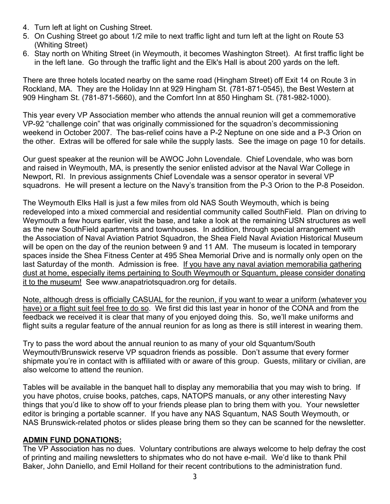- 4. Turn left at light on Cushing Street.
- 5. On Cushing Street go about 1/2 mile to next traffic light and turn left at the light on Route 53 (Whiting Street)
- 6. Stay north on Whiting Street (in Weymouth, it becomes Washington Street). At first traffic light be in the left lane. Go through the traffic light and the Elk's Hall is about 200 yards on the left.

There are three hotels located nearby on the same road (Hingham Street) off Exit 14 on Route 3 in Rockland, MA. They are the Holiday Inn at 929 Hingham St. (781-871-0545), the Best Western at 909 Hingham St. (781-871-5660), and the Comfort Inn at 850 Hingham St. (781-982-1000).

This year every VP Association member who attends the annual reunion will get a commemorative VP-92 "challenge coin" that was originally commissioned for the squadron's decommissioning weekend in October 2007. The bas-relief coins have a P-2 Neptune on one side and a P-3 Orion on the other. Extras will be offered for sale while the supply lasts. See the image on page 10 for details.

Our guest speaker at the reunion will be AWOC John Lovendale. Chief Lovendale, who was born and raised in Weymouth, MA, is presently the senior enlisted advisor at the Naval War College in Newport, RI. In previous assignments Chief Lovendale was a sensor operator in several VP squadrons. He will present a lecture on the Navy's transition from the P-3 Orion to the P-8 Poseidon.

The Weymouth Elks Hall is just a few miles from old NAS South Weymouth, which is being redeveloped into a mixed commercial and residential community called SouthField. Plan on driving to Weymouth a few hours earlier, visit the base, and take a look at the remaining USN structures as well as the new SouthField apartments and townhouses. In addition, through special arrangement with the Association of Naval Aviation Patriot Squadron, the Shea Field Naval Aviation Historical Museum will be open on the day of the reunion between 9 and 11 AM. The museum is located in temporary spaces inside the Shea Fitness Center at 495 Shea Memorial Drive and is normally only open on the last Saturday of the month. Admission is free. If you have any naval aviation memorabilia gathering dust at home, especially items pertaining to South Weymouth or Squantum, please consider donating it to the museum! See www.anapatriotsquadron.org for details.

Note, although dress is officially CASUAL for the reunion, if you want to wear a uniform (whatever you have) or a flight suit feel free to do so. We first did this last year in honor of the CONA and from the feedback we received it is clear that many of you enjoyed doing this. So, we'll make uniforms and flight suits a regular feature of the annual reunion for as long as there is still interest in wearing them.

Try to pass the word about the annual reunion to as many of your old Squantum/South Weymouth/Brunswick reserve VP squadron friends as possible. Don't assume that every former shipmate you're in contact with is affiliated with or aware of this group. Guests, military or civilian, are also welcome to attend the reunion.

Tables will be available in the banquet hall to display any memorabilia that you may wish to bring. If you have photos, cruise books, patches, caps, NATOPS manuals, or any other interesting Navy things that you'd like to show off to your friends please plan to bring them with you. Your newsletter editor is bringing a portable scanner. If you have any NAS Squantum, NAS South Weymouth, or NAS Brunswick-related photos or slides please bring them so they can be scanned for the newsletter.

#### **ADMIN FUND DONATIONS:**

The VP Association has no dues. Voluntary contributions are always welcome to help defray the cost of printing and mailing newsletters to shipmates who do not have e-mail. We'd like to thank Phil Baker, John Daniello, and Emil Holland for their recent contributions to the administration fund.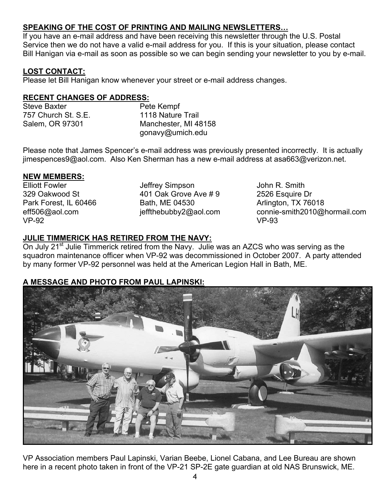# **SPEAKING OF THE COST OF PRINTING AND MAILING NEWSLETTERS…**

If you have an e-mail address and have been receiving this newsletter through the U.S. Postal Service then we do not have a valid e-mail address for you. If this is your situation, please contact Bill Hanigan via e-mail as soon as possible so we can begin sending your newsletter to you by e-mail.

## **LOST CONTACT:**

Please let Bill Hanigan know whenever your street or e-mail address changes.

## **RECENT CHANGES OF ADDRESS:**

| Steve Baxter        | Pete Kempf           |  |  |
|---------------------|----------------------|--|--|
| 757 Church St. S.E. | 1118 Nature Trail    |  |  |
| Salem, OR 97301     | Manchester, MI 48158 |  |  |
|                     | gonavy@umich.edu     |  |  |

Please note that James Spencer's e-mail address was previously presented incorrectly. It is actually jimespences9@aol.com. Also Ken Sherman has a new e-mail address at asa663@verizon.net.

## **NEW MEMBERS:**

Elliott Fowler 329 Oakwood St Park Forest, IL 60466 eff506@aol.com VP-92

Jeffrey Simpson 401 Oak Grove Ave # 9 Bath, ME 04530 jeffthebubby2@aol.com John R. Smith 2526 Esquire Dr Arlington, TX 76018 connie-smith2010@hormail.com VP-93

# **JULIE TIMMERICK HAS RETIRED FROM THE NAVY:**

On July 21<sup>st</sup> Julie Timmerick retired from the Navy. Julie was an AZCS who was serving as the squadron maintenance officer when VP-92 was decommissioned in October 2007. A party attended by many former VP-92 personnel was held at the American Legion Hall in Bath, ME.

# **A MESSAGE AND PHOTO FROM PAUL LAPINSKI:**



VP Association members Paul Lapinski, Varian Beebe, Lionel Cabana, and Lee Bureau are shown here in a recent photo taken in front of the VP-21 SP-2E gate guardian at old NAS Brunswick, ME.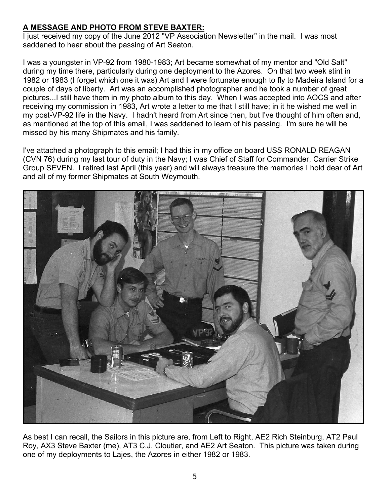# **A MESSAGE AND PHOTO FROM STEVE BAXTER:**

I just received my copy of the June 2012 "VP Association Newsletter" in the mail. I was most saddened to hear about the passing of Art Seaton.

I was a youngster in VP-92 from 1980-1983; Art became somewhat of my mentor and "Old Salt" during my time there, particularly during one deployment to the Azores. On that two week stint in 1982 or 1983 (I forget which one it was) Art and I were fortunate enough to fly to Madeira Island for a couple of days of liberty. Art was an accomplished photographer and he took a number of great pictures...I still have them in my photo album to this day. When I was accepted into AOCS and after receiving my commission in 1983, Art wrote a letter to me that I still have; in it he wished me well in my post-VP-92 life in the Navy. I hadn't heard from Art since then, but I've thought of him often and, as mentioned at the top of this email, I was saddened to learn of his passing. I'm sure he will be missed by his many Shipmates and his family.

I've attached a photograph to this email; I had this in my office on board USS RONALD REAGAN (CVN 76) during my last tour of duty in the Navy; I was Chief of Staff for Commander, Carrier Strike Group SEVEN. I retired last April (this year) and will always treasure the memories I hold dear of Art and all of my former Shipmates at South Weymouth.



As best I can recall, the Sailors in this picture are, from Left to Right, AE2 Rich Steinburg, AT2 Paul Roy, AX3 Steve Baxter (me), AT3 C.J. Cloutier, and AE2 Art Seaton. This picture was taken during one of my deployments to Lajes, the Azores in either 1982 or 1983.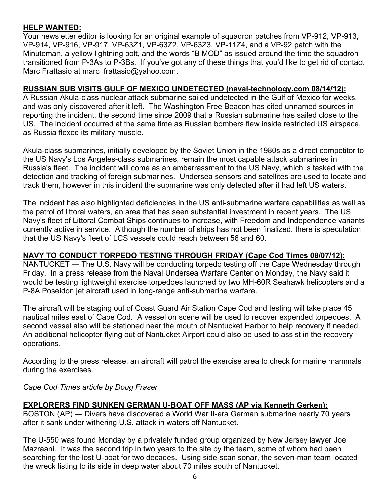## **HELP WANTED:**

Your newsletter editor is looking for an original example of squadron patches from VP-912, VP-913, VP-914, VP-916, VP-917, VP-63Z1, VP-63Z2, VP-63Z3, VP-11Z4, and a VP-92 patch with the Minuteman, a yellow lightning bolt, and the words "B MOD" as issued around the time the squadron transitioned from P-3As to P-3Bs. If you've got any of these things that you'd like to get rid of contact Marc Frattasio at marc frattasio@yahoo.com.

#### **RUSSIAN SUB VISITS GULF OF MEXICO UNDETECTED (naval-technology.com 08/14/12):**

A Russian Akula-class nuclear attack submarine sailed undetected in the Gulf of Mexico for weeks, and was only discovered after it left. The Washington Free Beacon has cited unnamed sources in reporting the incident, the second time since 2009 that a Russian submarine has sailed close to the US. The incident occurred at the same time as Russian bombers flew inside restricted US airspace, as Russia flexed its military muscle.

Akula-class submarines, initially developed by the Soviet Union in the 1980s as a direct competitor to the US Navy's Los Angeles-class submarines, remain the most capable attack submarines in Russia's fleet. The incident will come as an embarrassment to the US Navy, which is tasked with the detection and tracking of foreign submarines. Undersea sensors and satellites are used to locate and track them, however in this incident the submarine was only detected after it had left US waters.

The incident has also highlighted deficiencies in the US anti-submarine warfare capabilities as well as the patrol of littoral waters, an area that has seen substantial investment in recent years. The US Navy's fleet of Littoral Combat Ships continues to increase, with Freedom and Independence variants currently active in service. Although the number of ships has not been finalized, there is speculation that the US Navy's fleet of LCS vessels could reach between 56 and 60.

## **NAVY TO CONDUCT TORPEDO TESTING THROUGH FRIDAY (Cape Cod Times 08/07/12):**

NANTUCKET — The U.S. Navy will be conducting torpedo testing off the Cape Wednesday through Friday. In a press release from the Naval Undersea Warfare Center on Monday, the Navy said it would be testing lightweight exercise torpedoes launched by two MH-60R Seahawk helicopters and a P-8A Poseidon jet aircraft used in long-range anti-submarine warfare.

The aircraft will be staging out of Coast Guard Air Station Cape Cod and testing will take place 45 nautical miles east of Cape Cod. A vessel on scene will be used to recover expended torpedoes. A second vessel also will be stationed near the mouth of Nantucket Harbor to help recovery if needed. An additional helicopter flying out of Nantucket Airport could also be used to assist in the recovery operations.

According to the press release, an aircraft will patrol the exercise area to check for marine mammals during the exercises.

*Cape Cod Times article by Doug Fraser* 

#### **EXPLORERS FIND SUNKEN GERMAN U-BOAT OFF MASS (AP via Kenneth Gerken):**

BOSTON (AP) — Divers have discovered a World War II-era German submarine nearly 70 years after it sank under withering U.S. attack in waters off Nantucket.

The U-550 was found Monday by a privately funded group organized by New Jersey lawyer Joe Mazraani. It was the second trip in two years to the site by the team, some of whom had been searching for the lost U-boat for two decades. Using side-scan sonar, the seven-man team located the wreck listing to its side in deep water about 70 miles south of Nantucket.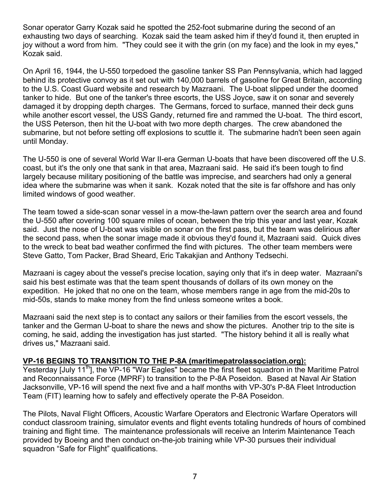Sonar operator Garry Kozak said he spotted the 252-foot submarine during the second of an exhausting two days of searching. Kozak said the team asked him if they'd found it, then erupted in joy without a word from him. "They could see it with the grin (on my face) and the look in my eyes," Kozak said.

On April 16, 1944, the U-550 torpedoed the gasoline tanker SS Pan Pennsylvania, which had lagged behind its protective convoy as it set out with 140,000 barrels of gasoline for Great Britain, according to the U.S. Coast Guard website and research by Mazraani. The U-boat slipped under the doomed tanker to hide. But one of the tanker's three escorts, the USS Joyce, saw it on sonar and severely damaged it by dropping depth charges. The Germans, forced to surface, manned their deck guns while another escort vessel, the USS Gandy, returned fire and rammed the U-boat. The third escort, the USS Peterson, then hit the U-boat with two more depth charges. The crew abandoned the submarine, but not before setting off explosions to scuttle it. The submarine hadn't been seen again until Monday.

The U-550 is one of several World War II-era German U-boats that have been discovered off the U.S. coast, but it's the only one that sank in that area, Mazraani said. He said it's been tough to find largely because military positioning of the battle was imprecise, and searchers had only a general idea where the submarine was when it sank. Kozak noted that the site is far offshore and has only limited windows of good weather.

The team towed a side-scan sonar vessel in a mow-the-lawn pattern over the search area and found the U-550 after covering 100 square miles of ocean, between the trip this year and last year, Kozak said. Just the nose of U-boat was visible on sonar on the first pass, but the team was delirious after the second pass, when the sonar image made it obvious they'd found it, Mazraani said. Quick dives to the wreck to beat bad weather confirmed the find with pictures. The other team members were Steve Gatto, Tom Packer, Brad Sheard, Eric Takakjian and Anthony Tedsechi.

Mazraani is cagey about the vessel's precise location, saying only that it's in deep water. Mazraani's said his best estimate was that the team spent thousands of dollars of its own money on the expedition. He joked that no one on the team, whose members range in age from the mid-20s to mid-50s, stands to make money from the find unless someone writes a book.

Mazraani said the next step is to contact any sailors or their families from the escort vessels, the tanker and the German U-boat to share the news and show the pictures. Another trip to the site is coming, he said, adding the investigation has just started. "The history behind it all is really what drives us," Mazraani said.

## **VP-16 BEGINS TO TRANSITION TO THE P-8A (maritimepatrolassociation.org):**

Yesterday [July 11<sup>th</sup>], the VP-16 "War Eagles" became the first fleet squadron in the Maritime Patrol and Reconnaissance Force (MPRF) to transition to the P-8A Poseidon. Based at Naval Air Station Jacksonville, VP-16 will spend the next five and a half months with VP-30's P-8A Fleet Introduction Team (FIT) learning how to safely and effectively operate the P-8A Poseidon.

The Pilots, Naval Flight Officers, Acoustic Warfare Operators and Electronic Warfare Operators will conduct classroom training, simulator events and flight events totaling hundreds of hours of combined training and flight time. The maintenance professionals will receive an Interim Maintenance Teach provided by Boeing and then conduct on-the-job training while VP-30 pursues their individual squadron "Safe for Flight" qualifications.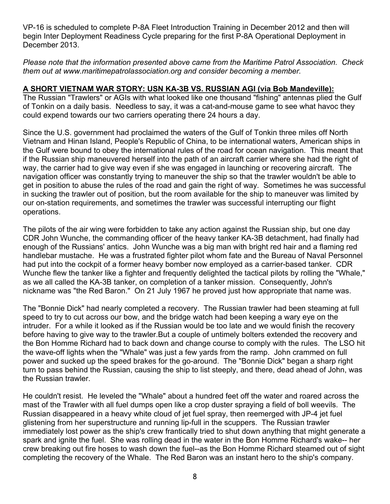VP-16 is scheduled to complete P-8A Fleet Introduction Training in December 2012 and then will begin Inter Deployment Readiness Cycle preparing for the first P-8A Operational Deployment in December 2013.

*Please note that the information presented above came from the Maritime Patrol Association. Check them out at www.maritimepatrolassociation.org and consider becoming a member.* 

## **A SHORT VIETNAM WAR STORY: USN KA-3B VS. RUSSIAN AGI (via Bob Mandeville):**

The Russian "Trawlers" or AGIs with what looked like one thousand "fishing" antennas plied the Gulf of Tonkin on a daily basis. Needless to say, it was a cat-and-mouse game to see what havoc they could expend towards our two carriers operating there 24 hours a day.

Since the U.S. government had proclaimed the waters of the Gulf of Tonkin three miles off North Vietnam and Hinan Island, People's Republic of China, to be international waters, American ships in the Gulf were bound to obey the international rules of the road for ocean navigation. This meant that if the Russian ship maneuvered herself into the path of an aircraft carrier where she had the right of way, the carrier had to give way even if she was engaged in launching or recovering aircraft. The navigation officer was constantly trying to maneuver the ship so that the trawler wouldn't be able to get in position to abuse the rules of the road and gain the right of way. Sometimes he was successful in sucking the trawler out of position, but the room available for the ship to maneuver was limited by our on-station requirements, and sometimes the trawler was successful interrupting our flight operations.

The pilots of the air wing were forbidden to take any action against the Russian ship, but one day CDR John Wunche, the commanding officer of the heavy tanker KA-3B detachment, had finally had enough of the Russians' antics. John Wunche was a big man with bright red hair and a flaming red handlebar mustache. He was a frustrated fighter pilot whom fate and the Bureau of Naval Personnel had put into the cockpit of a former heavy bomber now employed as a carrier-based tanker. CDR Wunche flew the tanker like a fighter and frequently delighted the tactical pilots by rolling the "Whale," as we all called the KA-3B tanker, on completion of a tanker mission. Consequently, John's nickname was "the Red Baron." On 21 July 1967 he proved just how appropriate that name was.

The "Bonnie Dick" had nearly completed a recovery. The Russian trawler had been steaming at full speed to try to cut across our bow, and the bridge watch had been keeping a wary eye on the intruder. For a while it looked as if the Russian would be too late and we would finish the recovery before having to give way to the trawler.But a couple of untimely bolters extended the recovery and the Bon Homme Richard had to back down and change course to comply with the rules. The LSO hit the wave-off lights when the "Whale" was just a few yards from the ramp. John crammed on full power and sucked up the speed brakes for the go-around. The "Bonnie Dick" began a sharp right turn to pass behind the Russian, causing the ship to list steeply, and there, dead ahead of John, was the Russian trawler.

He couldn't resist. He leveled the "Whale" about a hundred feet off the water and roared across the mast of the Trawler with all fuel dumps open like a crop duster spraying a field of boll weevils. The Russian disappeared in a heavy white cloud of jet fuel spray, then reemerged with JP-4 jet fuel glistening from her superstructure and running lip-full in the scuppers. The Russian trawler immediately lost power as the ship's crew frantically tried to shut down anything that might generate a spark and ignite the fuel. She was rolling dead in the water in the Bon Homme Richard's wake-- her crew breaking out fire hoses to wash down the fuel--as the Bon Homme Richard steamed out of sight completing the recovery of the Whale. The Red Baron was an instant hero to the ship's company.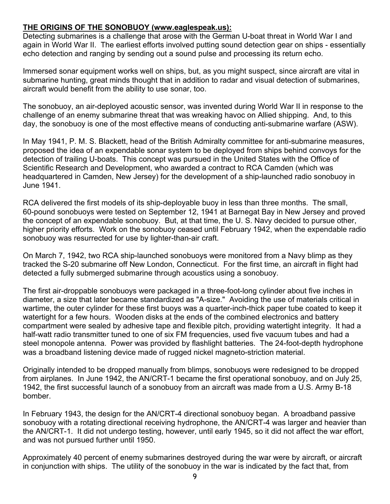## **THE ORIGINS OF THE SONOBUOY (www.eaglespeak.us):**

Detecting submarines is a challenge that arose with the German U-boat threat in World War I and again in World War II. The earliest efforts involved putting sound detection gear on ships - essentially echo detection and ranging by sending out a sound pulse and processing its return echo.

Immersed sonar equipment works well on ships, but, as you might suspect, since aircraft are vital in submarine hunting, great minds thought that in addition to radar and visual detection of submarines, aircraft would benefit from the ability to use sonar, too.

The sonobuoy, an air-deployed acoustic sensor, was invented during World War II in response to the challenge of an enemy submarine threat that was wreaking havoc on Allied shipping. And, to this day, the sonobuoy is one of the most effective means of conducting anti-submarine warfare (ASW).

In May 1941, P. M. S. Blackett, head of the British Admiralty committee for anti-submarine measures, proposed the idea of an expendable sonar system to be deployed from ships behind convoys for the detection of trailing U-boats. This concept was pursued in the United States with the Office of Scientific Research and Development, who awarded a contract to RCA Camden (which was headquartered in Camden, New Jersey) for the development of a ship-launched radio sonobuoy in June 1941.

RCA delivered the first models of its ship-deployable buoy in less than three months. The small, 60-pound sonobuoys were tested on September 12, 1941 at Barnegat Bay in New Jersey and proved the concept of an expendable sonobuoy. But, at that time, the U. S. Navy decided to pursue other, higher priority efforts. Work on the sonobuoy ceased until February 1942, when the expendable radio sonobuoy was resurrected for use by lighter-than-air craft.

On March 7, 1942, two RCA ship-launched sonobuoys were monitored from a Navy blimp as they tracked the S-20 submarine off New London, Connecticut. For the first time, an aircraft in flight had detected a fully submerged submarine through acoustics using a sonobuoy.

The first air-droppable sonobuoys were packaged in a three-foot-long cylinder about five inches in diameter, a size that later became standardized as "A-size." Avoiding the use of materials critical in wartime, the outer cylinder for these first buoys was a quarter-inch-thick paper tube coated to keep it watertight for a few hours. Wooden disks at the ends of the combined electronics and battery compartment were sealed by adhesive tape and flexible pitch, providing watertight integrity. It had a half-watt radio transmitter tuned to one of six FM frequencies, used five vacuum tubes and had a steel monopole antenna. Power was provided by flashlight batteries. The 24-foot-depth hydrophone was a broadband listening device made of rugged nickel magneto-striction material.

Originally intended to be dropped manually from blimps, sonobuoys were redesigned to be dropped from airplanes. In June 1942, the AN/CRT-1 became the first operational sonobuoy, and on July 25, 1942, the first successful launch of a sonobuoy from an aircraft was made from a U.S. Army B-18 bomber.

In February 1943, the design for the AN/CRT-4 directional sonobuoy began. A broadband passive sonobuoy with a rotating directional receiving hydrophone, the AN/CRT-4 was larger and heavier than the AN/CRT-1. It did not undergo testing, however, until early 1945, so it did not affect the war effort, and was not pursued further until 1950.

Approximately 40 percent of enemy submarines destroyed during the war were by aircraft, or aircraft in conjunction with ships. The utility of the sonobuoy in the war is indicated by the fact that, from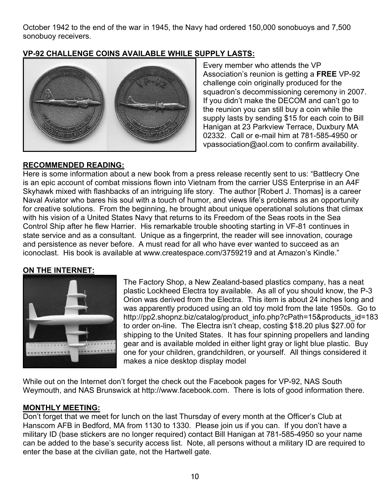October 1942 to the end of the war in 1945, the Navy had ordered 150,000 sonobuoys and 7,500 sonobuoy receivers.

# **VP-92 CHALLENGE COINS AVAILABLE WHILE SUPPLY LASTS:**



Every member who attends the VP Association's reunion is getting a **FREE** VP-92 challenge coin originally produced for the squadron's decommissioning ceremony in 2007. If you didn't make the DECOM and can't go to the reunion you can still buy a coin while the supply lasts by sending \$15 for each coin to Bill Hanigan at 23 Parkview Terrace, Duxbury MA 02332. Call or e-mail him at 781-585-4950 or vpassociation@aol.com to confirm availability.

## **RECOMMENDED READING:**

Here is some information about a new book from a press release recently sent to us: "Battlecry One is an epic account of combat missions flown into Vietnam from the carrier USS Enterprise in an A4F Skyhawk mixed with flashbacks of an intriguing life story. The author [Robert J. Thomas] is a career Naval Aviator who bares his soul with a touch of humor, and views life's problems as an opportunity for creative solutions. From the beginning, he brought about unique operational solutions that climax with his vision of a United States Navy that returns to its Freedom of the Seas roots in the Sea Control Ship after he flew Harrier. His remarkable trouble shooting starting in VF-81 continues in state service and as a consultant. Unique as a fingerprint, the reader will see innovation, courage and persistence as never before. A must read for all who have ever wanted to succeed as an iconoclast. His book is available at www.createspace.com/3759219 and at Amazon's Kindle."

# **ON THE INTERNET:**



The Factory Shop, a New Zealand-based plastics company, has a neat plastic Lockheed Electra toy available. As all of you should know, the P-3 Orion was derived from the Electra. This item is about 24 inches long and was apparently produced using an old toy mold from the late 1950s. Go to http://pp2.shopnz.biz/catalog/product\_info.php?cPath=15&products\_id=183 to order on-line. The Electra isn't cheap, costing \$18.20 plus \$27.00 for shipping to the United States. It has four spinning propellers and landing gear and is available molded in either light gray or light blue plastic. Buy one for your children, grandchildren, or yourself. All things considered it makes a nice desktop display model

While out on the Internet don't forget the check out the Facebook pages for VP-92, NAS South Weymouth, and NAS Brunswick at http://www.facebook.com. There is lots of good information there.

## **MONTHLY MEETING:**

Don't forget that we meet for lunch on the last Thursday of every month at the Officer's Club at Hanscom AFB in Bedford, MA from 1130 to 1330. Please join us if you can. If you don't have a military ID (base stickers are no longer required) contact Bill Hanigan at 781-585-4950 so your name can be added to the base's security access list. Note, all persons without a military ID are required to enter the base at the civilian gate, not the Hartwell gate.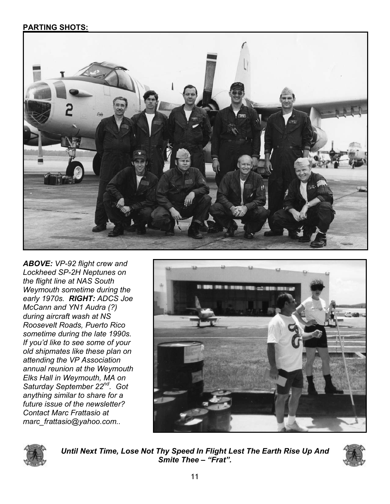# **PARTING SHOTS:**



*ABOVE: VP-92 flight crew and Lockheed SP-2H Neptunes on the flight line at NAS South Weymouth sometime during the early 1970s. RIGHT: ADCS Joe McCann and YN1 Audra (?) during aircraft wash at NS Roosevelt Roads, Puerto Rico sometime during the late 1990s. If you'd like to see some of your old shipmates like these plan on attending the VP Association annual reunion at the Weymouth Elks Hall in Weymouth, MA on Saturday September 22nd. Got anything similar to share for a future issue of the newsletter? Contact Marc Frattasio at marc\_frattasio@yahoo.com..* 





*Until Next Time, Lose Not Thy Speed In Flight Lest The Earth Rise Up And Smite Thee – "Frat".*